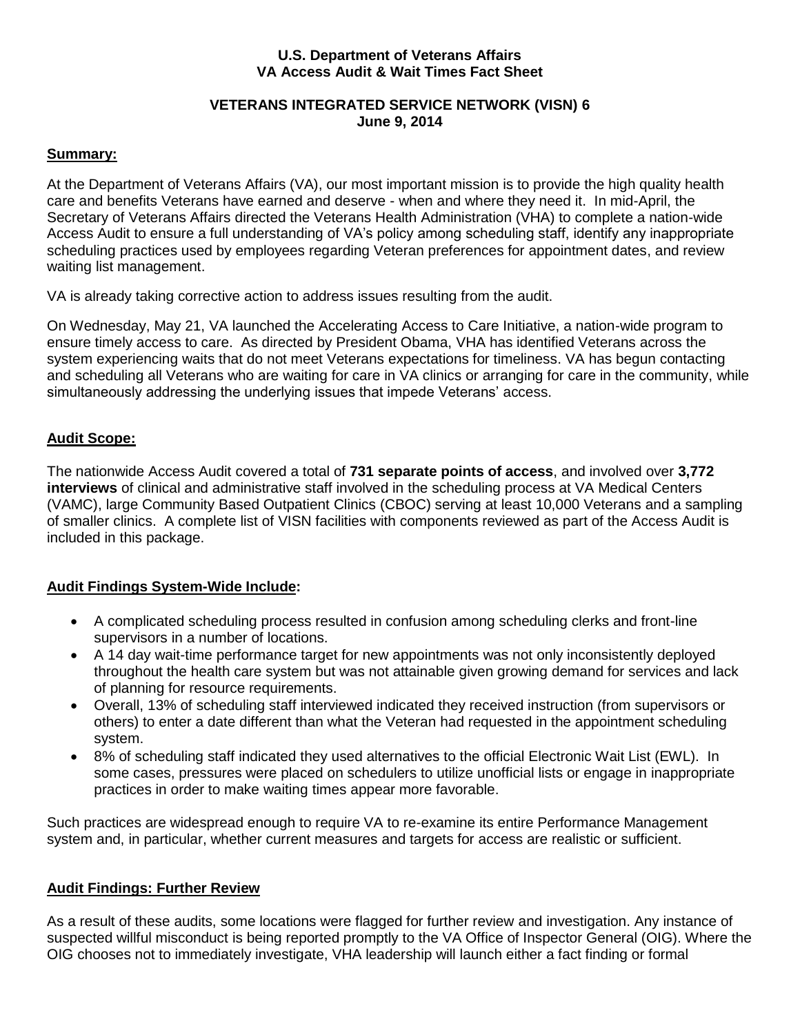#### **U.S. Department of Veterans Affairs VA Access Audit & Wait Times Fact Sheet**

#### **VETERANS INTEGRATED SERVICE NETWORK (VISN) 6 June 9, 2014**

#### **Summary:**

At the Department of Veterans Affairs (VA), our most important mission is to provide the high quality health care and benefits Veterans have earned and deserve - when and where they need it. In mid-April, the Secretary of Veterans Affairs directed the Veterans Health Administration (VHA) to complete a nation-wide Access Audit to ensure a full understanding of VA's policy among scheduling staff, identify any inappropriate scheduling practices used by employees regarding Veteran preferences for appointment dates, and review waiting list management.

VA is already taking corrective action to address issues resulting from the audit.

On Wednesday, May 21, VA launched the Accelerating Access to Care Initiative, a nation-wide program to ensure timely access to care. As directed by President Obama, VHA has identified Veterans across the system experiencing waits that do not meet Veterans expectations for timeliness. VA has begun contacting and scheduling all Veterans who are waiting for care in VA clinics or arranging for care in the community, while simultaneously addressing the underlying issues that impede Veterans' access.

### **Audit Scope:**

The nationwide Access Audit covered a total of **731 separate points of access**, and involved over **3,772 interviews** of clinical and administrative staff involved in the scheduling process at VA Medical Centers (VAMC), large Community Based Outpatient Clinics (CBOC) serving at least 10,000 Veterans and a sampling of smaller clinics. A complete list of VISN facilities with components reviewed as part of the Access Audit is included in this package.

## **Audit Findings System-Wide Include:**

- A complicated scheduling process resulted in confusion among scheduling clerks and front-line supervisors in a number of locations.
- A 14 day wait-time performance target for new appointments was not only inconsistently deployed throughout the health care system but was not attainable given growing demand for services and lack of planning for resource requirements.
- Overall, 13% of scheduling staff interviewed indicated they received instruction (from supervisors or others) to enter a date different than what the Veteran had requested in the appointment scheduling system.
- 8% of scheduling staff indicated they used alternatives to the official Electronic Wait List (EWL). In some cases, pressures were placed on schedulers to utilize unofficial lists or engage in inappropriate practices in order to make waiting times appear more favorable.

Such practices are widespread enough to require VA to re-examine its entire Performance Management system and, in particular, whether current measures and targets for access are realistic or sufficient.

## **Audit Findings: Further Review**

As a result of these audits, some locations were flagged for further review and investigation. Any instance of suspected willful misconduct is being reported promptly to the VA Office of Inspector General (OIG). Where the OIG chooses not to immediately investigate, VHA leadership will launch either a fact finding or formal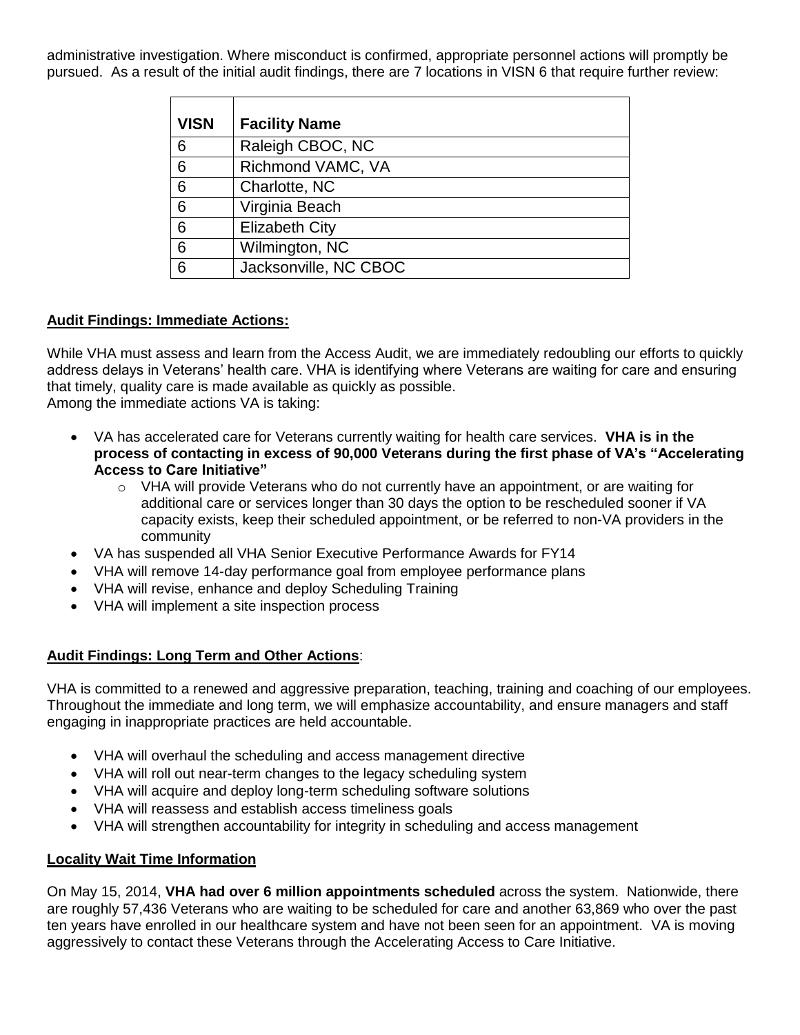administrative investigation. Where misconduct is confirmed, appropriate personnel actions will promptly be pursued. As a result of the initial audit findings, there are 7 locations in VISN 6 that require further review:

| <b>VISN</b> | <b>Facility Name</b>  |
|-------------|-----------------------|
| 6           | Raleigh CBOC, NC      |
| 6           | Richmond VAMC, VA     |
| 6           | Charlotte, NC         |
| 6           | Virginia Beach        |
| 6           | <b>Elizabeth City</b> |
| 6           | Wilmington, NC        |
| 6           | Jacksonville, NC CBOC |

## **Audit Findings: Immediate Actions:**

While VHA must assess and learn from the Access Audit, we are immediately redoubling our efforts to quickly address delays in Veterans' health care. VHA is identifying where Veterans are waiting for care and ensuring that timely, quality care is made available as quickly as possible. Among the immediate actions VA is taking:

- VA has accelerated care for Veterans currently waiting for health care services. **VHA is in the process of contacting in excess of 90,000 Veterans during the first phase of VA's "Accelerating Access to Care Initiative"**
	- $\circ$  VHA will provide Veterans who do not currently have an appointment, or are waiting for additional care or services longer than 30 days the option to be rescheduled sooner if VA capacity exists, keep their scheduled appointment, or be referred to non-VA providers in the community
- VA has suspended all VHA Senior Executive Performance Awards for FY14
- VHA will remove 14-day performance goal from employee performance plans
- VHA will revise, enhance and deploy Scheduling Training
- VHA will implement a site inspection process

# **Audit Findings: Long Term and Other Actions**:

VHA is committed to a renewed and aggressive preparation, teaching, training and coaching of our employees. Throughout the immediate and long term, we will emphasize accountability, and ensure managers and staff engaging in inappropriate practices are held accountable.

- VHA will overhaul the scheduling and access management directive
- VHA will roll out near-term changes to the legacy scheduling system
- VHA will acquire and deploy long-term scheduling software solutions
- VHA will reassess and establish access timeliness goals
- VHA will strengthen accountability for integrity in scheduling and access management

# **Locality Wait Time Information**

On May 15, 2014, **VHA had over 6 million appointments scheduled** across the system. Nationwide, there are roughly 57,436 Veterans who are waiting to be scheduled for care and another 63,869 who over the past ten years have enrolled in our healthcare system and have not been seen for an appointment. VA is moving aggressively to contact these Veterans through the Accelerating Access to Care Initiative.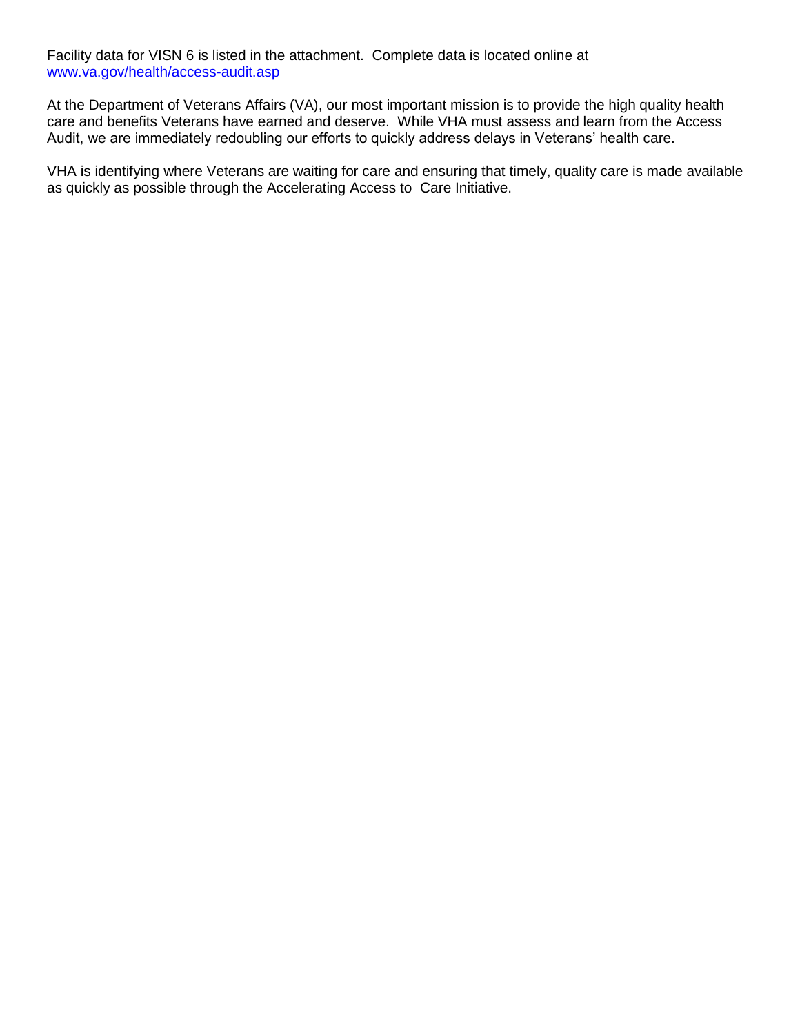Facility data for VISN 6 is listed in the attachment. Complete data is located online at [www.va.gov/health/access-audit.asp](http://www.va.gov/health/access-audit.asp)

At the Department of Veterans Affairs (VA), our most important mission is to provide the high quality health care and benefits Veterans have earned and deserve. While VHA must assess and learn from the Access Audit, we are immediately redoubling our efforts to quickly address delays in Veterans' health care.

VHA is identifying where Veterans are waiting for care and ensuring that timely, quality care is made available as quickly as possible through the Accelerating Access to Care Initiative.